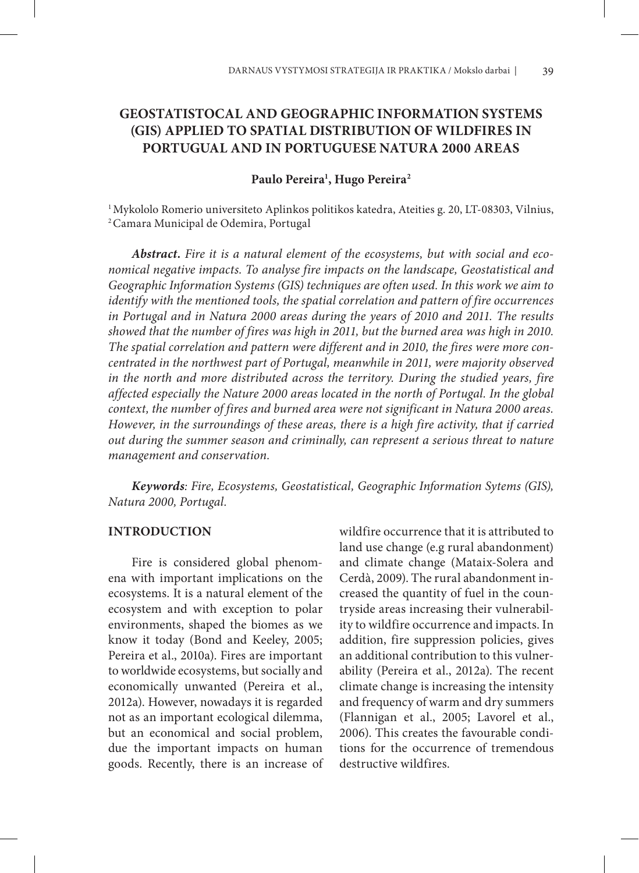# **GEOSTATISTOCAL AND GEOGRAPHIC INFORMATION SYSTEMS (GIS) APPLIED TO SPATIAL DISTRIBUTION OF WILDFIRES IN PORTUGUAL AND IN PORTUGUESE NATURA 2000 AREAS**

## **Paulo Pereira1 , Hugo Pereira2**

1 Mykololo Romerio universiteto Aplinkos politikos katedra, Ateities g. 20, LT-08303, Vilnius, 2 Camara Municipal de Odemira, Portugal

*Abstract. Fire it is a natural element of the ecosystems, but with social and economical negative impacts. To analyse fire impacts on the landscape, Geostatistical and Geographic Information Systems (GIS) techniques are often used. In this work we aim to identify with the mentioned tools, the spatial correlation and pattern of fire occurrences in Portugal and in Natura 2000 areas during the years of 2010 and 2011. The results showed that the number of fires was high in 2011, but the burned area was high in 2010. The spatial correlation and pattern were different and in 2010, the fires were more concentrated in the northwest part of Portugal, meanwhile in 2011, were majority observed in the north and more distributed across the territory. During the studied years, fire affected especially the Nature 2000 areas located in the north of Portugal. In the global context, the number of fires and burned area were not significant in Natura 2000 areas. However, in the surroundings of these areas, there is a high fire activity, that if carried out during the summer season and criminally, can represent a serious threat to nature management and conservation.* 

*Keywords: Fire, Ecosystems, Geostatistical, Geographic Information Sytems (GIS), Natura 2000, Portugal.*

## **INTRODUCTION**

Fire is considered global phenomena with important implications on the ecosystems. It is a natural element of the ecosystem and with exception to polar environments, shaped the biomes as we know it today (Bond and Keeley, 2005; Pereira et al., 2010a). Fires are important to worldwide ecosystems, but socially and economically unwanted (Pereira et al., 2012a). However, nowadays it is regarded not as an important ecological dilemma, but an economical and social problem, due the important impacts on human goods. Recently, there is an increase of

wildfire occurrence that it is attributed to land use change (e.g rural abandonment) and climate change (Mataix-Solera and Cerdà, 2009). The rural abandonment increased the quantity of fuel in the countryside areas increasing their vulnerability to wildfire occurrence and impacts. In addition, fire suppression policies, gives an additional contribution to this vulnerability (Pereira et al., 2012a). The recent climate change is increasing the intensity and frequency of warm and dry summers (Flannigan et al., 2005; Lavorel et al., 2006). This creates the favourable conditions for the occurrence of tremendous destructive wildfires.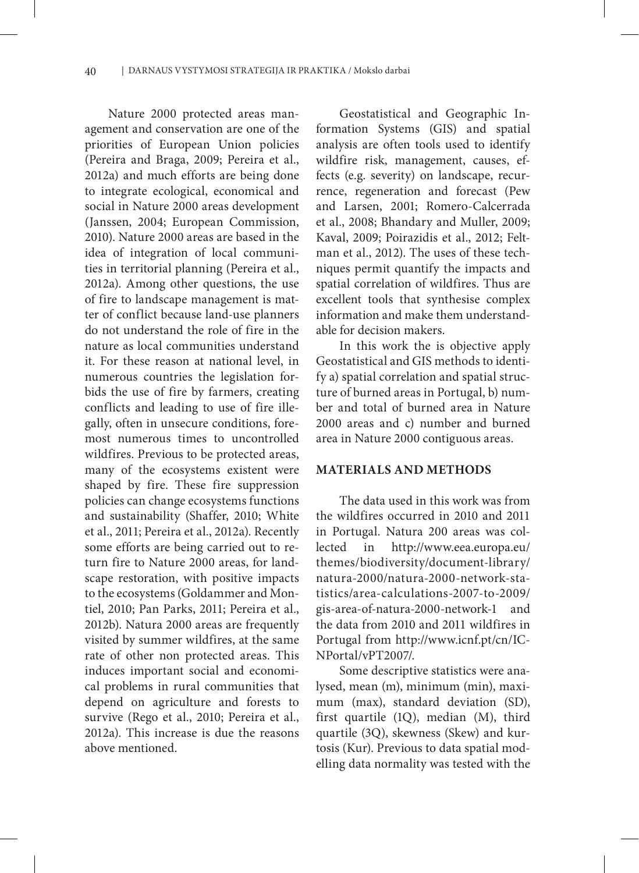Nature 2000 protected areas management and conservation are one of the priorities of European Union policies (Pereira and Braga, 2009; Pereira et al., 2012a) and much efforts are being done to integrate ecological, economical and social in Nature 2000 areas development (Janssen, 2004; European Commission, 2010). Nature 2000 areas are based in the idea of integration of local communities in territorial planning (Pereira et al., 2012a). Among other questions, the use of fire to landscape management is matter of conflict because land-use planners do not understand the role of fire in the nature as local communities understand it. For these reason at national level, in numerous countries the legislation forbids the use of fire by farmers, creating conflicts and leading to use of fire illegally, often in unsecure conditions, foremost numerous times to uncontrolled wildfires. Previous to be protected areas, many of the ecosystems existent were shaped by fire. These fire suppression policies can change ecosystems functions and sustainability (Shaffer, 2010; White et al., 2011; Pereira et al., 2012a). Recently some efforts are being carried out to return fire to Nature 2000 areas, for landscape restoration, with positive impacts to the ecosystems (Goldammer and Montiel, 2010; Pan Parks, 2011; Pereira et al., 2012b). Natura 2000 areas are frequently visited by summer wildfires, at the same rate of other non protected areas. This induces important social and economical problems in rural communities that depend on agriculture and forests to survive (Rego et al., 2010; Pereira et al., 2012a). This increase is due the reasons above mentioned.

Geostatistical and Geographic Information Systems (GIS) and spatial analysis are often tools used to identify wildfire risk, management, causes, effects (e.g. severity) on landscape, recurrence, regeneration and forecast (Pew and Larsen, 2001; Romero-Calcerrada et al., 2008; Bhandary and Muller, 2009; Kaval, 2009; Poirazidis et al., 2012; Feltman et al., 2012). The uses of these techniques permit quantify the impacts and spatial correlation of wildfires. Thus are excellent tools that synthesise complex information and make them understandable for decision makers.

In this work the is objective apply Geostatistical and GIS methods to identify a) spatial correlation and spatial structure of burned areas in Portugal, b) number and total of burned area in Nature 2000 areas and c) number and burned area in Nature 2000 contiguous areas.

#### **MATERIALS AND METHODS**

The data used in this work was from the wildfires occurred in 2010 and 2011 in Portugal. Natura 200 areas was collected in http://www.eea.europa.eu/ themes/biodiversity/document-library/ natura-2000/natura-2000-network-statistics/area-calculations-2007-to-2009/ gis-area-of-natura-2000-network-1 and the data from 2010 and 2011 wildfires in Portugal from http://www.icnf.pt/cn/IC-NPortal/vPT2007/.

Some descriptive statistics were analysed, mean (m), minimum (min), maximum (max), standard deviation (SD), first quartile (1Q), median (M), third quartile (3Q), skewness (Skew) and kurtosis (Kur). Previous to data spatial modelling data normality was tested with the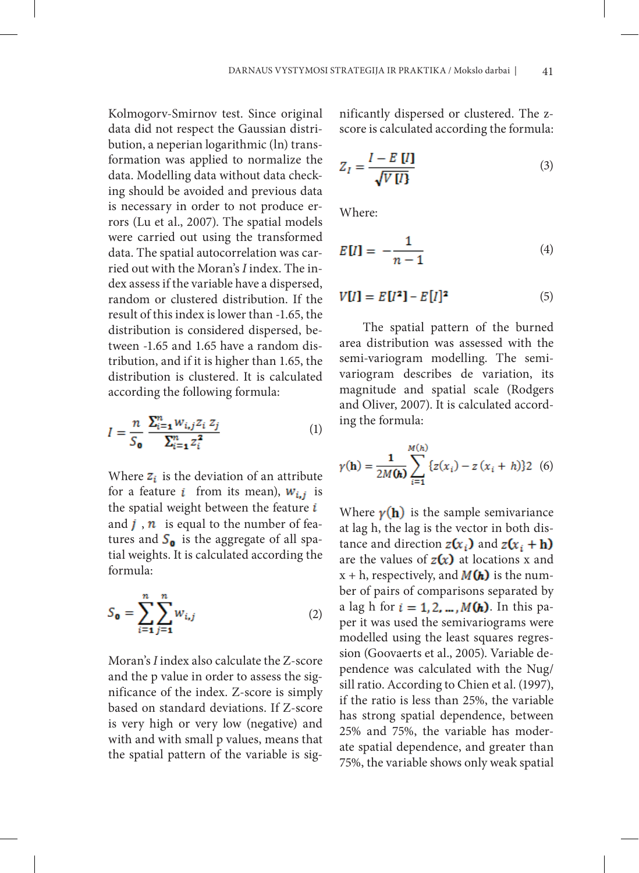Kolmogorv-Smirnov test. Since original data did not respect the Gaussian distribution, a neperian logarithmic (ln) transformation was applied to normalize the data. Modelling data without data checking should be avoided and previous data is necessary in order to not produce errors (Lu et al., 2007). The spatial models were carried out using the transformed data. The spatial autocorrelation was carried out with the Moran's *I* index. The index assess if the variable have a dispersed, random or clustered distribution. If the result of this index is lower than -1.65, the distribution is considered dispersed, between -1.65 and 1.65 have a random distribution, and if it is higher than 1.65, the distribution is clustered. It is calculated according the following formula:

$$
I = \frac{n}{S_0} \frac{\sum_{i=1}^{n} w_{i,j} z_i z_j}{\sum_{i=1}^{n} z_i^2}
$$
 (1)

Where  $z_i$  is the deviation of an attribute for a feature *i* from its mean),  $W_{i,j}$  is the spatial weight between the feature  $i$ and  $j$ ,  $n$  is equal to the number of features and  $S_0$  is the aggregate of all spatial weights. It is calculated according the formula:

$$
S_{\mathbf{0}} = \sum_{i=1}^{n} \sum_{j=1}^{n} w_{i,j}
$$
 (2)

Moran's *I* index also calculate the Z-score and the p value in order to assess the significance of the index. Z-score is simply based on standard deviations. If Z-score is very high or very low (negative) and with and with small p values, means that the spatial pattern of the variable is significantly dispersed or clustered. The zscore is calculated according the formula:

$$
Z_I = \frac{I - E[I]}{\sqrt{V[I]}}
$$
\n(3)

Where:

$$
E[U] = -\frac{1}{n-1} \tag{4}
$$

$$
V[I] = E[I2] - E[I]2
$$
 (5)

The spatial pattern of the burned area distribution was assessed with the semi-variogram modelling. The semivariogram describes de variation, its magnitude and spatial scale (Rodgers and Oliver, 2007). It is calculated according the formula:

$$
\gamma(\mathbf{h}) = \frac{1}{2M(\mathbf{h})} \sum_{i=1}^{M(h)} \{ z(x_i) - z(x_i + h) \} 2 \tag{6}
$$

Where  $\gamma(\mathbf{h})$  is the sample semivariance at lag h, the lag is the vector in both distance and direction  $z(x_i)$  and  $z(x_i + h)$ are the values of  $z(x)$  at locations x and  $x + h$ , respectively, and  $M(h)$  is the number of pairs of comparisons separated by a lag h for  $i = 1, 2, ..., M(h)$ . In this paper it was used the semivariograms were modelled using the least squares regression (Goovaerts et al., 2005). Variable dependence was calculated with the Nug/ sill ratio. According to Chien et al. (1997), if the ratio is less than 25%, the variable has strong spatial dependence, between 25% and 75%, the variable has moderate spatial dependence, and greater than 75%, the variable shows only weak spatial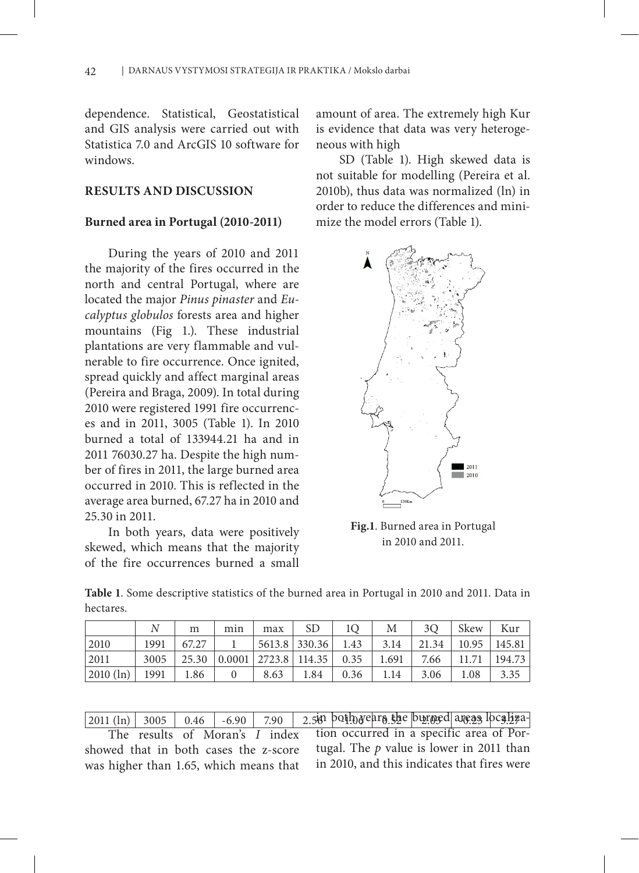dependence. Statistical, Geostatistical and GIS analysis were carried out with Statistica 7.0 and ArcGIS 10 software for windows.

## **RESULTS AND DISCUSSION**

#### **Burned area in Portugal (2010-2011)**

During the years of 2010 and 2011 the majority of the fires occurred in the north and central Portugal, where are located the major *Pinus pinaster* and *Eucalyptus globulos* forests area and higher mountains (Fig 1.). These industrial plantations are very flammable and vulnerable to fire occurrence. Once ignited, spread quickly and affect marginal areas (Pereira and Braga, 2009). In total during 2010 were registered 1991 fire occurrences and in 2011, 3005 (Table 1). In 2010 burned a total of 133944.21 ha and in 2011 76030.27 ha. Despite the high number of fires in 2011, the large burned area occurred in 2010. This is reflected in the average area burned, 67.27 ha in 2010 and 25.30 in 2011.

In both years, data were positively skewed, which means that the majority of the fire occurrences burned a small

amount of area. The extremely high Kur is evidence that data was very heterogeneous with high

SD (Table 1). High skewed data is not suitable for modelling (Pereira et al. 2010b), thus data was normalized (ln) in order to reduce the differences and minimize the model errors (Table 1).



**Fig.1**. Burned area in Portugal in 2010 and 2011.

|           | Table 1. Some descriptive statistics of the burned area in Portugal in 2010 and 2011. Data in |  |  |  |  |
|-----------|-----------------------------------------------------------------------------------------------|--|--|--|--|
| hectares. |                                                                                               |  |  |  |  |

|             |      | m     | mın    | max  | SD              |      | Μ     | 30    | Skew  | Kur    |
|-------------|------|-------|--------|------|-----------------|------|-------|-------|-------|--------|
| 2010        | 1991 | 67.27 |        |      | 5613.8 330.36   | 1.43 | 3.14  | 21.34 | 10.95 | 145.81 |
| 2011        | 3005 | 25.30 | 0.0001 |      | 2723.8   114.35 | 0.35 | 1.691 | 7.66  |       | 194.73 |
| $2010$ (ln) | 1991 | 1.86  |        | 8.63 | 1.84            | 0.36 | 1.14  | 3.06  | 1.08  | 3.35   |

| $ 2011 $ (ln) $ 3005 $ 0.46 -6.90 7.90 2.5 in both rears the burned areas localiza |                                                                         |  |  |  |  |  |
|------------------------------------------------------------------------------------|-------------------------------------------------------------------------|--|--|--|--|--|
|                                                                                    | The results of Moran's I index tion occurred in a specific area of Por- |  |  |  |  |  |
|                                                                                    |                                                                         |  |  |  |  |  |

showed that in both cases the z-score was higher than 1.65, which means that tugal. The *p* value is lower in 2011 than in 2010, and this indicates that fires were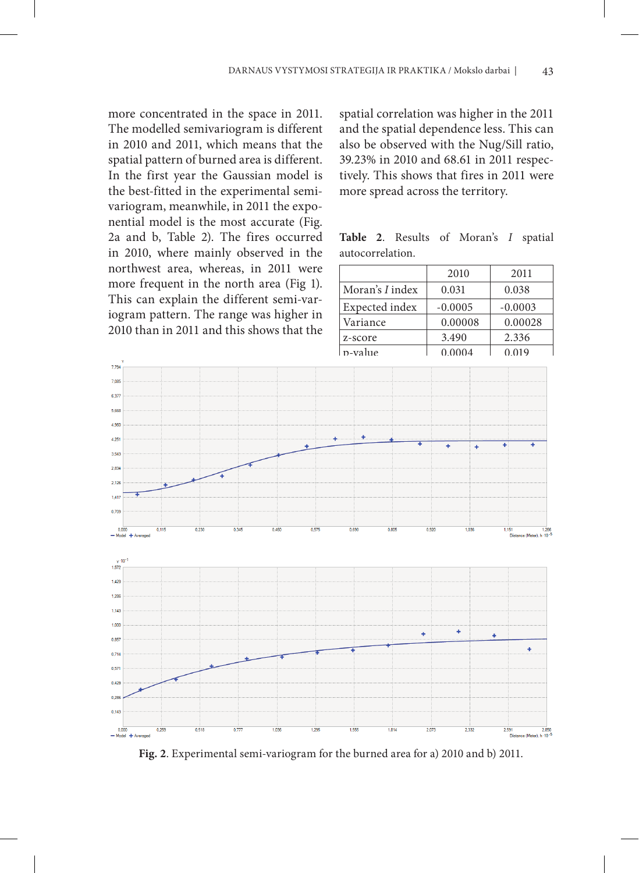more concentrated in the space in 2011. The modelled semivariogram is different in 2010 and 2011, which means that the spatial pattern of burned area is different. In the first year the Gaussian model is the best-fitted in the experimental semivariogram, meanwhile, in 2011 the exponential model is the most accurate (Fig. 2a and b, Table 2). The fires occurred in 2010, where mainly observed in the northwest area, whereas, in 2011 were more frequent in the north area (Fig 1). This can explain the different semi-variogram pattern. The range was higher in 2010 than in 2011 and this shows that the

spatial correlation was higher in the 2011 and the spatial dependence less. This can also be observed with the Nug/Sill ratio, 39.23% in 2010 and 68.61 in 2011 respectively. This shows that fires in 2011 were more spread across the territory.

**Table 2**. Results of Moran's *I* spatial autocorrelation.

|                 | 2010      | 2011      |  |
|-----------------|-----------|-----------|--|
| Moran's I index | 0.031     | 0.038     |  |
| Expected index  | $-0.0005$ | $-0.0003$ |  |
| Variance        | 0.00008   | 0.00028   |  |
| z-score         | 3.490     | 2.336     |  |
| n-value         | 0.0004    | 0.019     |  |



**Fig. 2**. Experimental semi-variogram for the burned area for a) 2010 and b) 2011.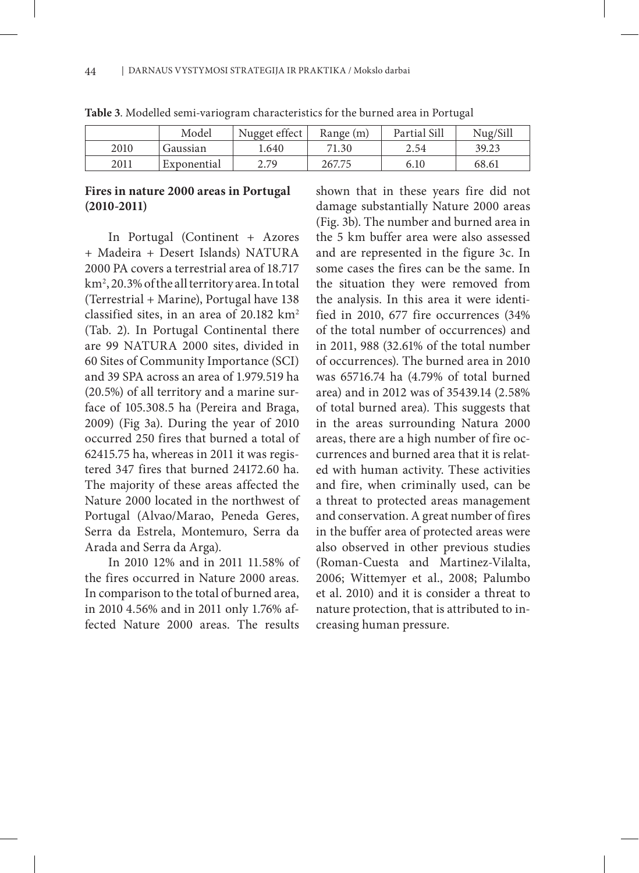|      | Model       | Nugget effect   | Range (m) | Partial Sill | Nug/Sill |
|------|-------------|-----------------|-----------|--------------|----------|
| 2010 | Gaussian    | l.640           | 71.30     | 2.54         | 39.23    |
| 2011 | Exponential | 2 7Q<br><u></u> | 267.75    | 6.10         | 68.61    |

**Table 3**. Modelled semi-variogram characteristics for the burned area in Portugal

## **Fires in nature 2000 areas in Portugal (2010-2011)**

In Portugal (Continent + Azores + Madeira + Desert Islands) NATURA 2000 PA covers a terrestrial area of 18.717 km2 , 20.3% of the all territory area. In total (Terrestrial + Marine), Portugal have 138 classified sites, in an area of  $20.182 \text{ km}^2$ (Tab. 2). In Portugal Continental there are 99 NATURA 2000 sites, divided in 60 Sites of Community Importance (SCI) and 39 SPA across an area of 1.979.519 ha (20.5%) of all territory and a marine surface of 105.308.5 ha (Pereira and Braga, 2009) (Fig 3a). During the year of 2010 occurred 250 fires that burned a total of 62415.75 ha, whereas in 2011 it was registered 347 fires that burned 24172.60 ha. The majority of these areas affected the Nature 2000 located in the northwest of Portugal (Alvao/Marao, Peneda Geres, Serra da Estrela, Montemuro, Serra da Arada and Serra da Arga).

In 2010 12% and in 2011 11.58% of the fires occurred in Nature 2000 areas. In comparison to the total of burned area, in 2010 4.56% and in 2011 only 1.76% affected Nature 2000 areas. The results

shown that in these years fire did not damage substantially Nature 2000 areas (Fig. 3b). The number and burned area in the 5 km buffer area were also assessed and are represented in the figure 3c. In some cases the fires can be the same. In the situation they were removed from the analysis. In this area it were identified in 2010, 677 fire occurrences (34% of the total number of occurrences) and in 2011, 988 (32.61% of the total number of occurrences). The burned area in 2010 was 65716.74 ha (4.79% of total burned area) and in 2012 was of 35439.14 (2.58% of total burned area). This suggests that in the areas surrounding Natura 2000 areas, there are a high number of fire occurrences and burned area that it is related with human activity. These activities and fire, when criminally used, can be a threat to protected areas management and conservation. A great number of fires in the buffer area of protected areas were also observed in other previous studies (Roman-Cuesta and Martinez-Vilalta, 2006; Wittemyer et al., 2008; Palumbo et al. 2010) and it is consider a threat to nature protection, that is attributed to increasing human pressure.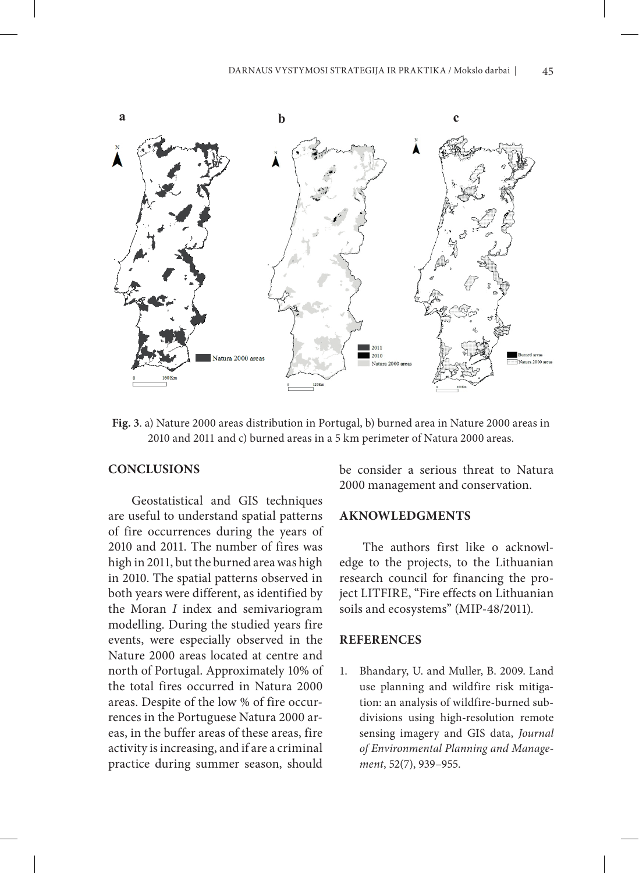

**Fig. 3**. a) Nature 2000 areas distribution in Portugal, b) burned area in Nature 2000 areas in 2010 and 2011 and c) burned areas in a 5 km perimeter of Natura 2000 areas.

## **CONCLUSIONS**

Geostatistical and GIS techniques are useful to understand spatial patterns of fire occurrences during the years of 2010 and 2011. The number of fires was high in 2011, but the burned area was high in 2010. The spatial patterns observed in both years were different, as identified by the Moran *I* index and semivariogram modelling. During the studied years fire events, were especially observed in the Nature 2000 areas located at centre and north of Portugal. Approximately 10% of the total fires occurred in Natura 2000 areas. Despite of the low % of fire occurrences in the Portuguese Natura 2000 areas, in the buffer areas of these areas, fire activity is increasing, and if are a criminal practice during summer season, should

be consider a serious threat to Natura 2000 management and conservation.

## **AKNOWLEDGMENTS**

The authors first like o acknowledge to the projects, to the Lithuanian research council for financing the project LITFIRE, "Fire effects on Lithuanian soils and ecosystems" (MIP-48/2011).

## **REFERENCES**

1. Bhandary, U. and Muller, B. 2009. Land use planning and wildfire risk mitigation: an analysis of wildfire-burned subdivisions using high-resolution remote sensing imagery and GIS data, *Journal of Environmental Planning and Management*, 52(7), 939–955.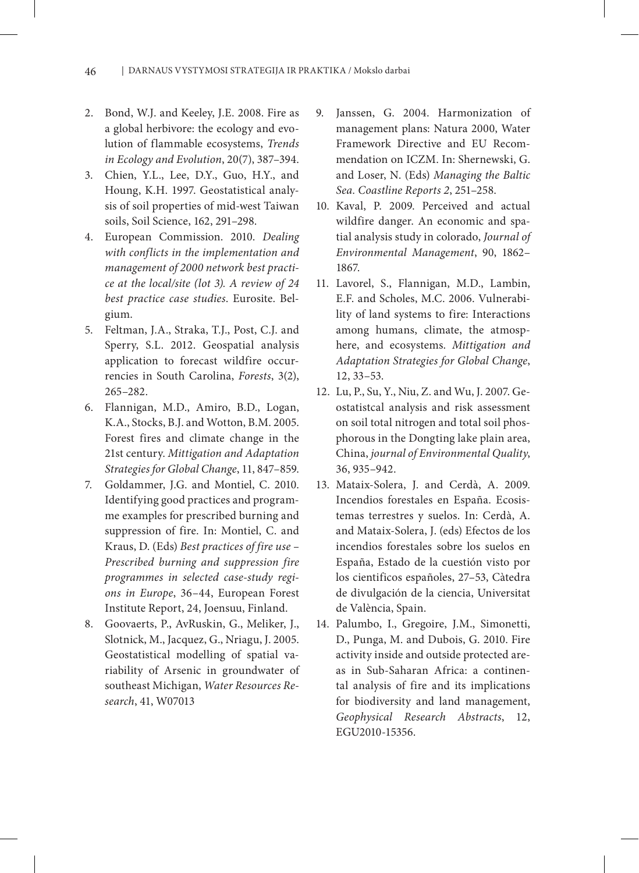- 2. Bond, W.J. and Keeley, J.E. 2008. Fire as a global herbivore: the ecology and evolution of flammable ecosystems, *Trends in Ecology and Evolution*, 20(7), 387–394.
- 3. Chien, Y.L., Lee, D.Y., Guo, H.Y., and Houng, K.H. 1997. Geostatistical analysis of soil properties of mid-west Taiwan soils, Soil Science, 162, 291–298.
- 4. European Commission. 2010. *Dealing with conflicts in the implementation and management of 2000 network best practice at the local/site (lot 3). A review of 24 best practice case studies*. Eurosite. Belgium.
- 5. Feltman, J.A., Straka, T.J., Post, C.J. and Sperry, S.L. 2012. Geospatial analysis application to forecast wildfire occurrencies in South Carolina, *Forests*, 3(2), 265–282.
- 6. Flannigan, M.D., Amiro, B.D., Logan, K.A., Stocks, B.J. and Wotton, B.M. 2005. Forest fires and climate change in the 21st century. *Mittigation and Adaptation Strategies for Global Change*, 11, 847–859.
- 7. Goldammer, J.G. and Montiel, C. 2010. Identifying good practices and programme examples for prescribed burning and suppression of fire. In: Montiel, C. and Kraus, D. (Eds) *Best practices of fire use – Prescribed burning and suppression fire programmes in selected case-study regions in Europe*, 36–44, European Forest Institute Report, 24, Joensuu, Finland.
- 8. Goovaerts, P., AvRuskin, G., Meliker, J., Slotnick, M., Jacquez, G., Nriagu, J. 2005. Geostatistical modelling of spatial variability of Arsenic in groundwater of southeast Michigan, *Water Resources Research*, 41, W07013
- 9. Janssen, G. 2004. Harmonization of management plans: Natura 2000, Water Framework Directive and EU Recommendation on ICZM. In: Shernewski, G. and Loser, N. (Eds) *Managing the Baltic Sea. Coastline Reports 2*, 251–258.
- 10. Kaval, P. 2009. Perceived and actual wildfire danger. An economic and spatial analysis study in colorado, *Journal of Environmental Management*, 90, 1862– 1867.
- 11. Lavorel, S., Flannigan, M.D., Lambin, E.F. and Scholes, M.C. 2006. Vulnerability of land systems to fire: Interactions among humans, climate, the atmosphere, and ecosystems. *Mittigation and Adaptation Strategies for Global Change*, 12, 33–53.
- 12. Lu, P., Su, Y., Niu, Z. and Wu, J. 2007. Geostatistcal analysis and risk assessment on soil total nitrogen and total soil phosphorous in the Dongting lake plain area, China, *journal of Environmental Quality*, 36, 935–942.
- 13. Mataix-Solera, J. and Cerdà, A. 2009. Incendios forestales en España. Ecosistemas terrestres y suelos. In: Cerdà, A. and Mataix-Solera, J. (eds) Efectos de los incendios forestales sobre los suelos en España, Estado de la cuestión visto por los cientificos españoles, 27–53, Càtedra de divulgación de la ciencia, Universitat de València, Spain.
- 14. Palumbo, I., Gregoire, J.M., Simonetti, D., Punga, M. and Dubois, G. 2010. Fire activity inside and outside protected areas in Sub-Saharan Africa: a continental analysis of fire and its implications for biodiversity and land management, *Geophysical Research Abstracts*, 12, EGU2010-15356.